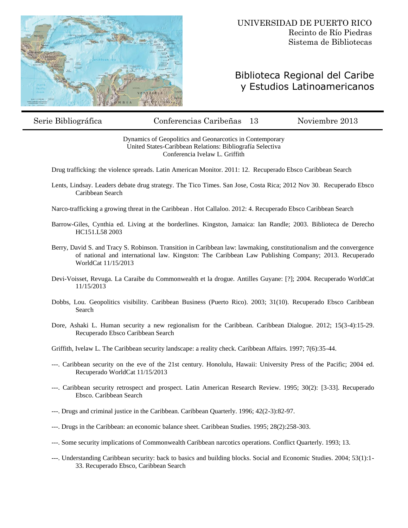

## Biblioteca Regional del Caribe y Estudios Latinoamericanos

Serie Bibliográfica Conferencias Caribeñas 13 Noviembre 2013

Dynamics of Geopolitics and Geonarcotics in Contemporary United States-Caribbean Relations: Bibliografía Selectiva Conferencia Ivelaw L. Griffith

Drug trafficking: the violence spreads. Latin American Monitor. 2011: 12. Recuperado Ebsco Caribbean Search

Lents, Lindsay. Leaders debate drug strategy. The Tico Times. San Jose, Costa Rica; 2012 Nov 30. Recuperado Ebsco Caribbean Search

Narco-trafficking a growing threat in the Caribbean . Hot Callaloo. 2012: 4. Recuperado Ebsco Caribbean Search

- Barrow-Giles, Cynthia ed. Living at the borderlines. Kingston, Jamaica: Ian Randle; 2003. Biblioteca de Derecho HC151.L58 2003
- Berry, David S. and Tracy S. Robinson. Transition in Caribbean law: lawmaking, constitutionalism and the convergence of national and international law. Kingston: The Caribbean Law Publishing Company; 2013. Recuperado WorldCat 11/15/2013
- Devi-Voisset, Revuga. La Caraibe du Commonwealth et la drogue. Antilles Guyane: [?]; 2004. Recuperado WorldCat 11/15/2013
- Dobbs, Lou. Geopolitics visibility. Caribbean Business (Puerto Rico). 2003; 31(10). Recuperado Ebsco Caribbean Search
- Dore, Ashaki L. Human security a new regionalism for the Caribbean. Caribbean Dialogue. 2012; 15(3-4):15-29. Recuperado Ebsco Caribbean Search

Griffith, Ivelaw L. The Caribbean security landscape: a reality check. Caribbean Affairs. 1997; 7(6):35-44.

- ---. Caribbean security on the eve of the 21st century. Honolulu, Hawaii: University Press of the Pacific; 2004 ed. Recuperado WorldCat 11/15/2013
- ---. Caribbean security retrospect and prospect. Latin American Research Review. 1995; 30(2): [3-33]. Recuperado Ebsco. Caribbean Search
- ---. Drugs and criminal justice in the Caribbean. Caribbean Quarterly. 1996; 42(2-3):82-97.
- ---. Drugs in the Caribbean: an economic balance sheet. Caribbean Studies. 1995; 28(2):258-303.
- ---. Some security implications of Commonwealth Caribbean narcotics operations. Conflict Quarterly. 1993; 13.
- ---. Understanding Caribbean security: back to basics and building blocks. Social and Economic Studies. 2004; 53(1):1- 33. Recuperado Ebsco, Caribbean Search